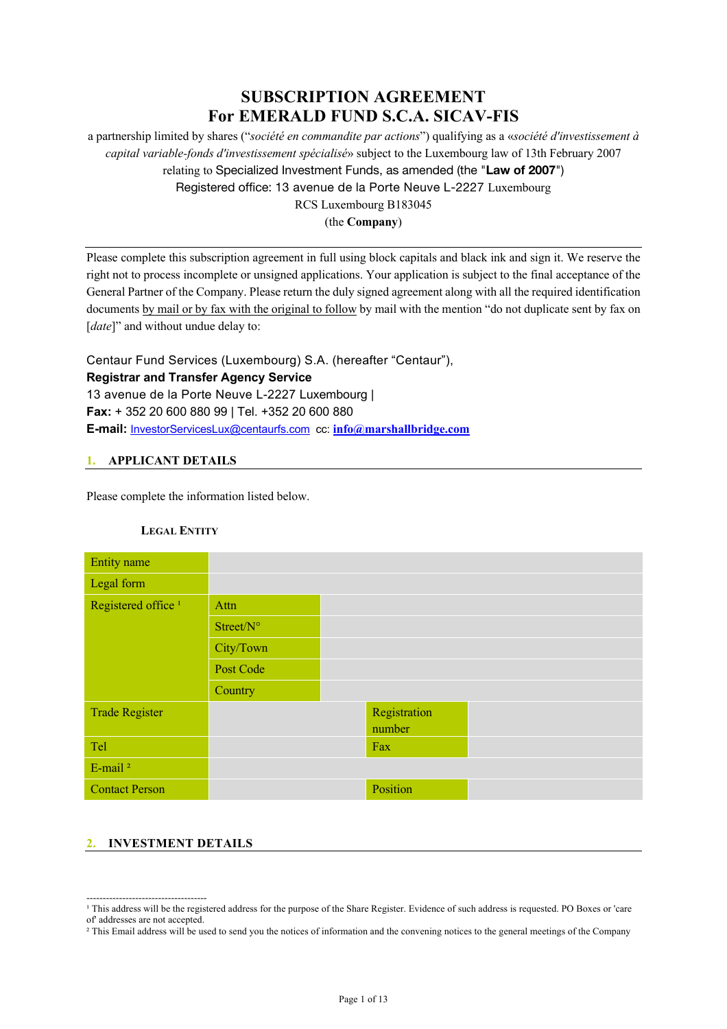# **SUBSCRIPTION AGREEMENT For EMERALD FUND S.C.A. SICAV-FIS**

a partnership limited by shares ("*société en commandite par actions*") qualifying as a «*société d'investissement à capital variable-fonds d'investissement spécialisé*» subject to the Luxembourg law of 13th February 2007 relating to Specialized Investment Funds, as amended (the "**Law of 2007**") Registered office: 13 avenue de la Porte Neuve L-2227 Luxembourg RCS Luxembourg B183045

(the **Company**)

Please complete this subscription agreement in full using block capitals and black ink and sign it. We reserve the right not to process incomplete or unsigned applications. Your application is subject to the final acceptance of the General Partner of the Company. Please return the duly signed agreement along with all the required identification documents by mail or by fax with the original to follow by mail with the mention "do not duplicate sent by fax on [*date*]" and without undue delay to:

Centaur Fund Services (Luxembourg) S.A. (hereafter "Centaur"), **Registrar and Transfer Agency Service**  13 avenue de la Porte Neuve L-2227 Luxembourg | **Fax:** + 352 20 600 880 99 | Tel. +352 20 600 880 **E-mail:** InvestorServicesLux@centaurfs.com cc: **info@marshallbridge.com**

### **1. APPLICANT DETAILS**

Please complete the information listed below.

### **LEGAL ENTITY**

| <b>Entity</b> name             |           |              |  |
|--------------------------------|-----------|--------------|--|
| Legal form                     |           |              |  |
| Registered office <sup>1</sup> | Attn      |              |  |
|                                | Street/N° |              |  |
|                                | City/Town |              |  |
|                                | Post Code |              |  |
|                                | Country   |              |  |
| <b>Trade Register</b>          |           | Registration |  |
|                                |           | number       |  |
| Tel                            |           | Fax          |  |
| E-mail <sup>2</sup>            |           |              |  |
| <b>Contact Person</b>          |           | Position     |  |

### **2. INVESTMENT DETAILS**

-------------------------------------

<sup>&</sup>lt;sup>1</sup> This address will be the registered address for the purpose of the Share Register. Evidence of such address is requested. PO Boxes or 'care of' addresses are not accepted.

<sup>&</sup>lt;sup>2</sup> This Email address will be used to send you the notices of information and the convening notices to the general meetings of the Company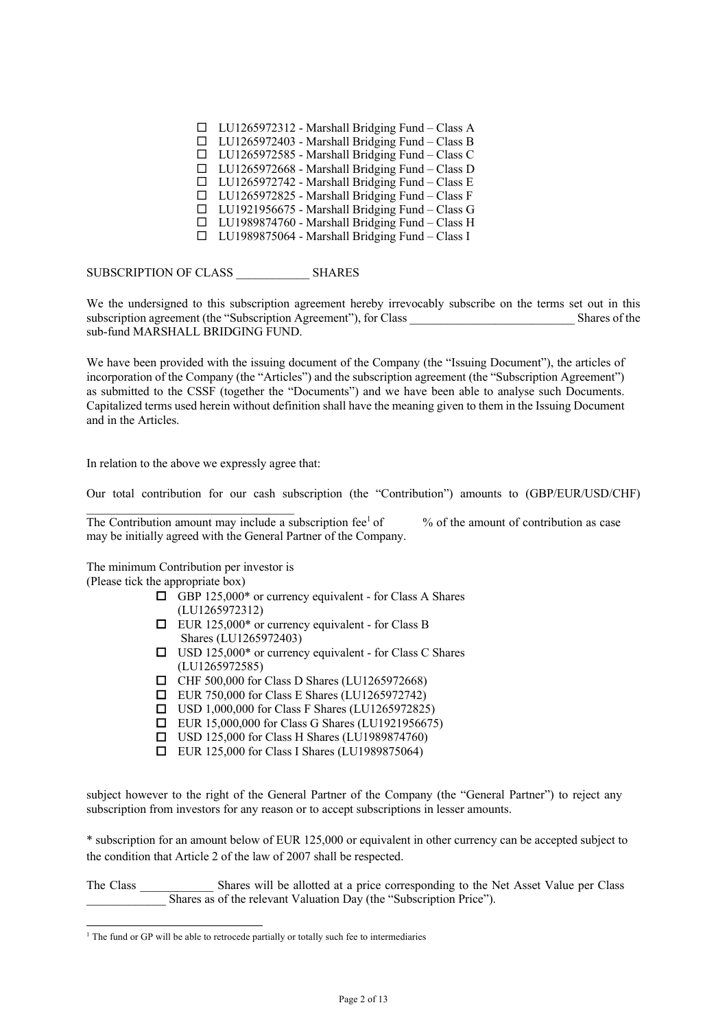$\Box$  LU1265972312 - Marshall Bridging Fund – Class A  $\Box$  LU1265972403 - Marshall Bridging Fund – Class B  $\Box$  LU1265972585 - Marshall Bridging Fund – Class C  $\Box$  LU1265972668 - Marshall Bridging Fund – Class D  $\Box$  LU1265972742 - Marshall Bridging Fund – Class E  $\Box$  LU1265972825 - Marshall Bridging Fund – Class F  $\Box$  LU1921956675 - Marshall Bridging Fund – Class G  $\Box$  LU1989874760 - Marshall Bridging Fund – Class H  $\Box$  LU1989875064 - Marshall Bridging Fund – Class I

SUBSCRIPTION OF CLASS SHARES

We the undersigned to this subscription agreement hereby irrevocably subscribe on the terms set out in this subscription agreement (the "Subscription Agreement"), for Class Shares of the Shares of the sub-fund MARSHALL BRIDGING FUND.

We have been provided with the issuing document of the Company (the "Issuing Document"), the articles of incorporation of the Company (the "Articles") and the subscription agreement (the "Subscription Agreement") as submitted to the CSSF (together the "Documents") and we have been able to analyse such Documents. Capitalized terms used herein without definition shall have the meaning given to them in the Issuing Document and in the Articles.

In relation to the above we expressly agree that:

Our total contribution for our cash subscription (the "Contribution") amounts to (GBP/EUR/USD/CHF)

The Contribution amount may include a subscription fee<sup>1</sup> of  $\%$  of the amount of contribution as case may be initially agreed with the General Partner of the Company.

The minimum Contribution per investor is (Please tick the appropriate box)

 $\mathcal{L}=\mathcal{L}=\mathcal{L}=\mathcal{L}=\mathcal{L}=\mathcal{L}=\mathcal{L}=\mathcal{L}=\mathcal{L}=\mathcal{L}=\mathcal{L}=\mathcal{L}=\mathcal{L}=\mathcal{L}=\mathcal{L}=\mathcal{L}=\mathcal{L}=\mathcal{L}=\mathcal{L}=\mathcal{L}=\mathcal{L}=\mathcal{L}=\mathcal{L}=\mathcal{L}=\mathcal{L}=\mathcal{L}=\mathcal{L}=\mathcal{L}=\mathcal{L}=\mathcal{L}=\mathcal{L}=\mathcal{L}=\mathcal{L}=\mathcal{L}=\mathcal{L}=\mathcal{L}=\mathcal{$ 

- $\Box$  GBP 125,000\* or currency equivalent for Class A Shares (LU1265972312)
- $\Box$  EUR 125,000\* or currency equivalent for Class B Shares (LU1265972403)
- $\Box$  USD 125,000\* or currency equivalent for Class C Shares (LU1265972585)
- $\Box$  CHF 500,000 for Class D Shares (LU1265972668)
- $\Box$  EUR 750,000 for Class E Shares (LU1265972742)
- $\Box$  USD 1,000,000 for Class F Shares (LU1265972825)
- $\Box$  EUR 15,000,000 for Class G Shares (LU1921956675)
- $\Box$  USD 125,000 for Class H Shares (LU1989874760)
- □ EUR 125,000 for Class I Shares (LU1989875064)

subject however to the right of the General Partner of the Company (the "General Partner") to reject any subscription from investors for any reason or to accept subscriptions in lesser amounts.

\* subscription for an amount below of EUR 125,000 or equivalent in other currency can be accepted subject to the condition that Article 2 of the law of 2007 shall be respected.

The Class \_\_\_\_\_\_\_\_\_\_\_\_ Shares will be allotted at a price corresponding to the Net Asset Value per Class Shares as of the relevant Valuation Day (the "Subscription Price").

<sup>&</sup>lt;sup>1</sup> The fund or GP will be able to retrocede partially or totally such fee to intermediaries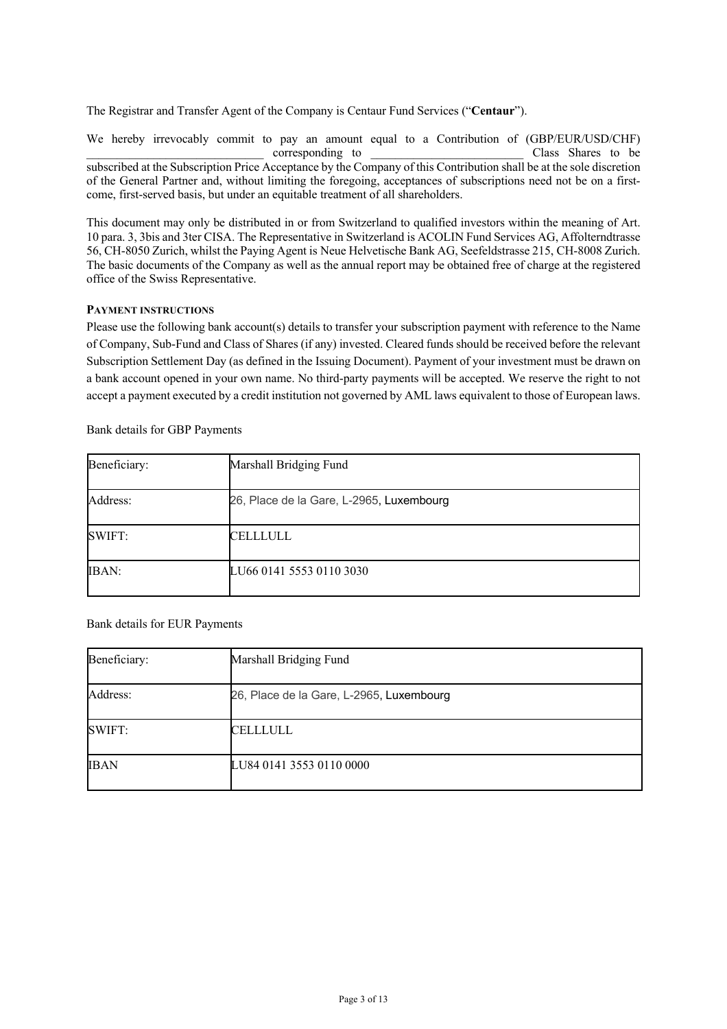The Registrar and Transfer Agent of the Company is Centaur Fund Services ("**Centaur**").

We hereby irrevocably commit to pay an amount equal to a Contribution of (GBP/EUR/USD/CHF) corresponding to  $\Box$  class Shares to be subscribed at the Subscription Price Acceptance by the Company of this Contribution shall be at the sole discretion of the General Partner and, without limiting the foregoing, acceptances of subscriptions need not be on a firstcome, first-served basis, but under an equitable treatment of all shareholders.

This document may only be distributed in or from Switzerland to qualified investors within the meaning of Art. 10 para. 3, 3bis and 3ter CISA. The Representative in Switzerland is ACOLIN Fund Services AG, Affolterndtrasse 56, CH-8050 Zurich, whilst the Paying Agent is Neue Helvetische Bank AG, Seefeldstrasse 215, CH-8008 Zurich. The basic documents of the Company as well as the annual report may be obtained free of charge at the registered office of the Swiss Representative.

#### **PAYMENT INSTRUCTIONS**

Please use the following bank account(s) details to transfer your subscription payment with reference to the Name of Company, Sub-Fund and Class of Shares (if any) invested. Cleared funds should be received before the relevant Subscription Settlement Day (as defined in the Issuing Document). Payment of your investment must be drawn on a bank account opened in your own name. No third-party payments will be accepted. We reserve the right to not accept a payment executed by a credit institution not governed by AML laws equivalent to those of European laws.

Bank details for GBP Payments

| Beneficiary: | Marshall Bridging Fund                   |
|--------------|------------------------------------------|
| Address:     | 26, Place de la Gare, L-2965, Luxembourg |
| SWIFT:       | CELLLULL                                 |
| <b>IBAN:</b> | LU66 0141 5553 0110 3030                 |

Bank details for EUR Payments

| Beneficiary: | Marshall Bridging Fund                   |
|--------------|------------------------------------------|
| Address:     | 26, Place de la Gare, L-2965, Luxembourg |
| SWIFT:       | CELLLULL                                 |
| <b>IBAN</b>  | LU84 0141 3553 0110 0000                 |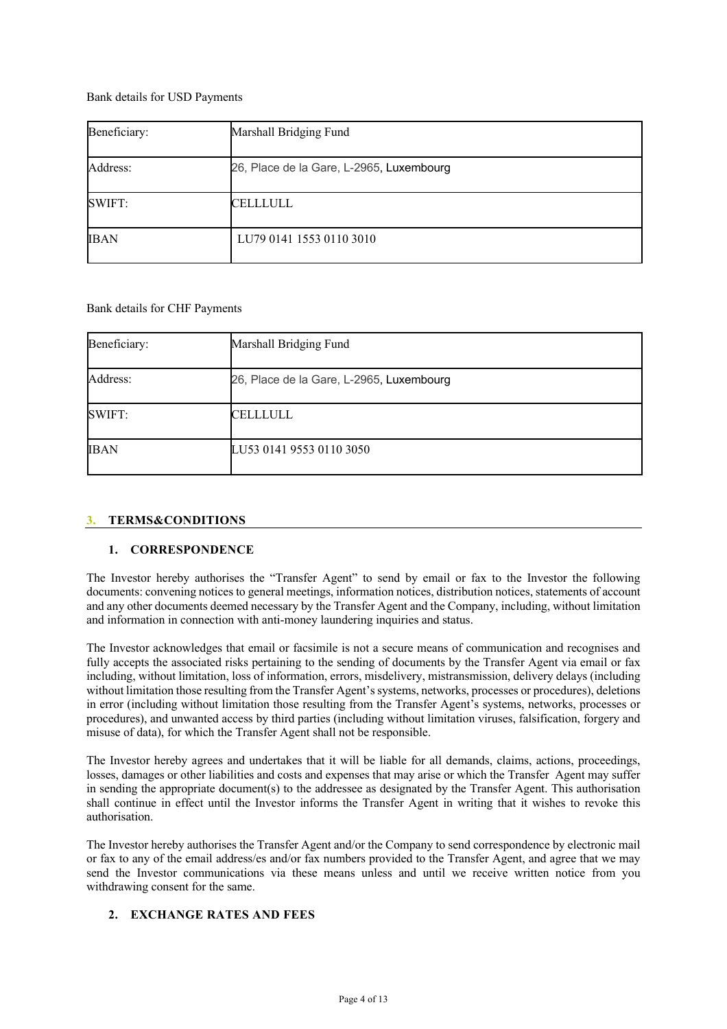Bank details for USD Payments

| Beneficiary: | Marshall Bridging Fund                   |
|--------------|------------------------------------------|
| Address:     | 26, Place de la Gare, L-2965, Luxembourg |
| SWIFT:       | CELLLULL                                 |
| <b>IBAN</b>  | LU79 0141 1553 0110 3010                 |

Bank details for CHF Payments

| Beneficiary: | Marshall Bridging Fund                   |
|--------------|------------------------------------------|
| Address:     | 26, Place de la Gare, L-2965, Luxembourg |
| SWIFT:       | CELLLULL                                 |
| <b>IBAN</b>  | LU53 0141 9553 0110 3050                 |

#### **3. TERMS&CONDITIONS**

#### **1. CORRESPONDENCE**

The Investor hereby authorises the "Transfer Agent" to send by email or fax to the Investor the following documents: convening notices to general meetings, information notices, distribution notices, statements of account and any other documents deemed necessary by the Transfer Agent and the Company, including, without limitation and information in connection with anti-money laundering inquiries and status.

The Investor acknowledges that email or facsimile is not a secure means of communication and recognises and fully accepts the associated risks pertaining to the sending of documents by the Transfer Agent via email or fax including, without limitation, loss of information, errors, misdelivery, mistransmission, delivery delays (including without limitation those resulting from the Transfer Agent's systems, networks, processes or procedures), deletions in error (including without limitation those resulting from the Transfer Agent's systems, networks, processes or procedures), and unwanted access by third parties (including without limitation viruses, falsification, forgery and misuse of data), for which the Transfer Agent shall not be responsible.

The Investor hereby agrees and undertakes that it will be liable for all demands, claims, actions, proceedings, losses, damages or other liabilities and costs and expenses that may arise or which the Transfer Agent may suffer in sending the appropriate document(s) to the addressee as designated by the Transfer Agent. This authorisation shall continue in effect until the Investor informs the Transfer Agent in writing that it wishes to revoke this authorisation.

The Investor hereby authorises the Transfer Agent and/or the Company to send correspondence by electronic mail or fax to any of the email address/es and/or fax numbers provided to the Transfer Agent, and agree that we may send the Investor communications via these means unless and until we receive written notice from you withdrawing consent for the same.

### **2. EXCHANGE RATES AND FEES**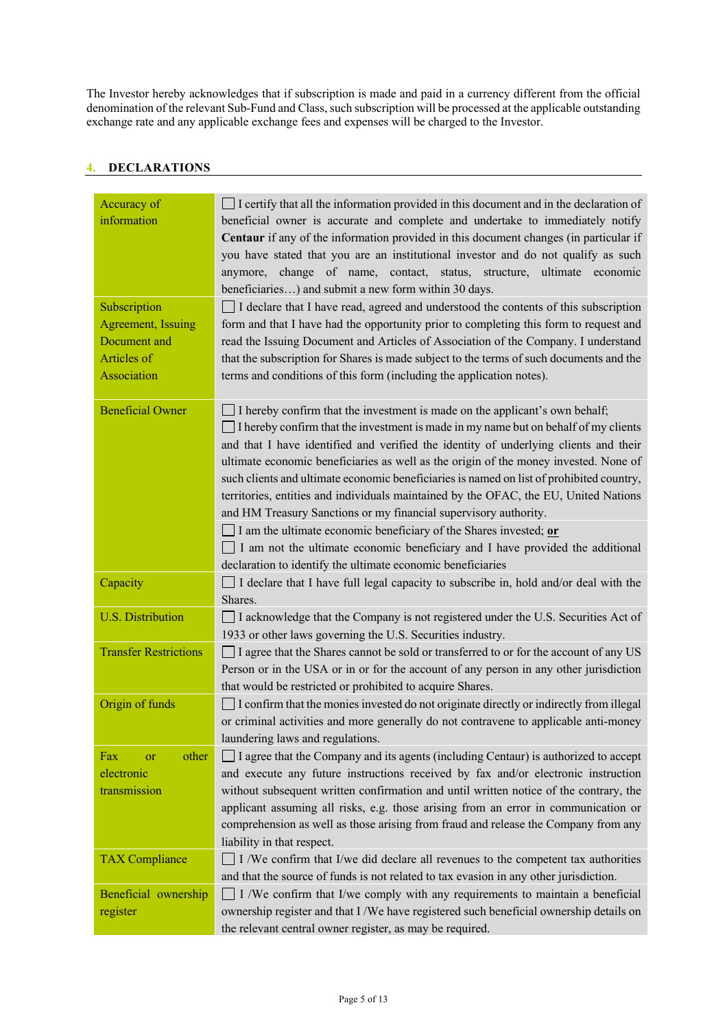The Investor hereby acknowledges that if subscription is made and paid in a currency different from the official denomination of the relevant Sub-Fund and Class, such subscription will be processed at the applicable outstanding exchange rate and any applicable exchange fees and expenses will be charged to the Investor.

### **4. DECLARATIONS**

| Accuracy of<br>information                                                       | I certify that all the information provided in this document and in the declaration of<br>beneficial owner is accurate and complete and undertake to immediately notify<br>Centaur if any of the information provided in this document changes (in particular if<br>you have stated that you are an institutional investor and do not qualify as such<br>anymore, change of name, contact, status, structure, ultimate economic<br>beneficiaries) and submit a new form within 30 days.                                                                                                                           |
|----------------------------------------------------------------------------------|-------------------------------------------------------------------------------------------------------------------------------------------------------------------------------------------------------------------------------------------------------------------------------------------------------------------------------------------------------------------------------------------------------------------------------------------------------------------------------------------------------------------------------------------------------------------------------------------------------------------|
| Subscription<br>Agreement, Issuing<br>Document and<br>Articles of<br>Association | □ I declare that I have read, agreed and understood the contents of this subscription<br>form and that I have had the opportunity prior to completing this form to request and<br>read the Issuing Document and Articles of Association of the Company. I understand<br>that the subscription for Shares is made subject to the terms of such documents and the<br>terms and conditions of this form (including the application notes).                                                                                                                                                                           |
| <b>Beneficial Owner</b>                                                          | I hereby confirm that the investment is made on the applicant's own behalf;<br>$\Box$ I hereby confirm that the investment is made in my name but on behalf of my clients<br>and that I have identified and verified the identity of underlying clients and their<br>ultimate economic beneficiaries as well as the origin of the money invested. None of<br>such clients and ultimate economic beneficiaries is named on list of prohibited country,<br>territories, entities and individuals maintained by the OFAC, the EU, United Nations<br>and HM Treasury Sanctions or my financial supervisory authority. |
|                                                                                  | I am the ultimate economic beneficiary of the Shares invested; $or$<br>I am not the ultimate economic beneficiary and I have provided the additional<br>declaration to identify the ultimate economic beneficiaries                                                                                                                                                                                                                                                                                                                                                                                               |
| Capacity                                                                         | I declare that I have full legal capacity to subscribe in, hold and/or deal with the<br>Shares.                                                                                                                                                                                                                                                                                                                                                                                                                                                                                                                   |
| <b>U.S. Distribution</b>                                                         | I acknowledge that the Company is not registered under the U.S. Securities Act of<br>1933 or other laws governing the U.S. Securities industry.                                                                                                                                                                                                                                                                                                                                                                                                                                                                   |
| <b>Transfer Restrictions</b>                                                     | I agree that the Shares cannot be sold or transferred to or for the account of any US<br>Person or in the USA or in or for the account of any person in any other jurisdiction<br>that would be restricted or prohibited to acquire Shares.                                                                                                                                                                                                                                                                                                                                                                       |
| Origin of funds                                                                  | I confirm that the monies invested do not originate directly or indirectly from illegal<br>or criminal activities and more generally do not contravene to applicable anti-money<br>laundering laws and regulations.                                                                                                                                                                                                                                                                                                                                                                                               |
| other<br>Fax<br>or<br>electronic<br>transmission                                 | $\Box$ I agree that the Company and its agents (including Centaur) is authorized to accept<br>and execute any future instructions received by fax and/or electronic instruction<br>without subsequent written confirmation and until written notice of the contrary, the<br>applicant assuming all risks, e.g. those arising from an error in communication or<br>comprehension as well as those arising from fraud and release the Company from any<br>liability in that respect.                                                                                                                                |
| <b>TAX Compliance</b>                                                            | I /We confirm that I/we did declare all revenues to the competent tax authorities<br>and that the source of funds is not related to tax evasion in any other jurisdiction.                                                                                                                                                                                                                                                                                                                                                                                                                                        |
| Beneficial ownership<br>register                                                 | I /We confirm that I/we comply with any requirements to maintain a beneficial<br>ownership register and that I/We have registered such beneficial ownership details on<br>the relevant central owner register, as may be required.                                                                                                                                                                                                                                                                                                                                                                                |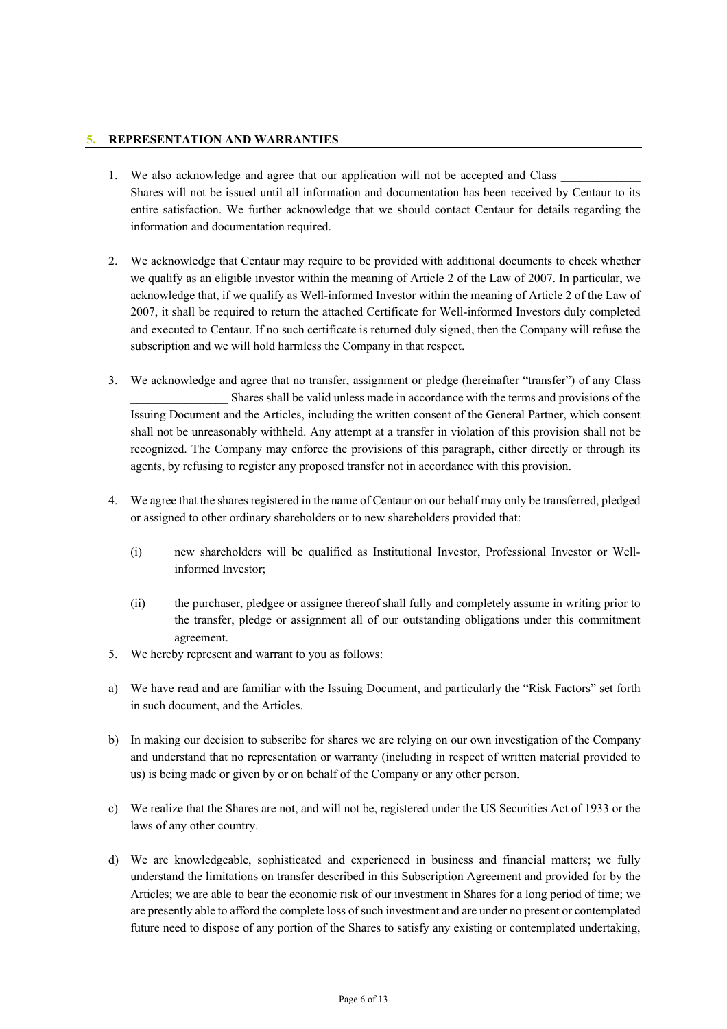### **5. REPRESENTATION AND WARRANTIES**

- 1. We also acknowledge and agree that our application will not be accepted and Class Shares will not be issued until all information and documentation has been received by Centaur to its entire satisfaction. We further acknowledge that we should contact Centaur for details regarding the information and documentation required.
- 2. We acknowledge that Centaur may require to be provided with additional documents to check whether we qualify as an eligible investor within the meaning of Article 2 of the Law of 2007. In particular, we acknowledge that, if we qualify as Well-informed Investor within the meaning of Article 2 of the Law of 2007, it shall be required to return the attached Certificate for Well-informed Investors duly completed and executed to Centaur. If no such certificate is returned duly signed, then the Company will refuse the subscription and we will hold harmless the Company in that respect.
- 3. We acknowledge and agree that no transfer, assignment or pledge (hereinafter "transfer") of any Class Shares shall be valid unless made in accordance with the terms and provisions of the Issuing Document and the Articles, including the written consent of the General Partner, which consent shall not be unreasonably withheld. Any attempt at a transfer in violation of this provision shall not be recognized. The Company may enforce the provisions of this paragraph, either directly or through its agents, by refusing to register any proposed transfer not in accordance with this provision.
- 4. We agree that the shares registered in the name of Centaur on our behalf may only be transferred, pledged or assigned to other ordinary shareholders or to new shareholders provided that:
	- (i) new shareholders will be qualified as Institutional Investor, Professional Investor or Wellinformed Investor;
	- (ii) the purchaser, pledgee or assignee thereof shall fully and completely assume in writing prior to the transfer, pledge or assignment all of our outstanding obligations under this commitment agreement.
- 5. We hereby represent and warrant to you as follows:
- a) We have read and are familiar with the Issuing Document, and particularly the "Risk Factors" set forth in such document, and the Articles.
- b) In making our decision to subscribe for shares we are relying on our own investigation of the Company and understand that no representation or warranty (including in respect of written material provided to us) is being made or given by or on behalf of the Company or any other person.
- c) We realize that the Shares are not, and will not be, registered under the US Securities Act of 1933 or the laws of any other country.
- d) We are knowledgeable, sophisticated and experienced in business and financial matters; we fully understand the limitations on transfer described in this Subscription Agreement and provided for by the Articles; we are able to bear the economic risk of our investment in Shares for a long period of time; we are presently able to afford the complete loss of such investment and are under no present or contemplated future need to dispose of any portion of the Shares to satisfy any existing or contemplated undertaking,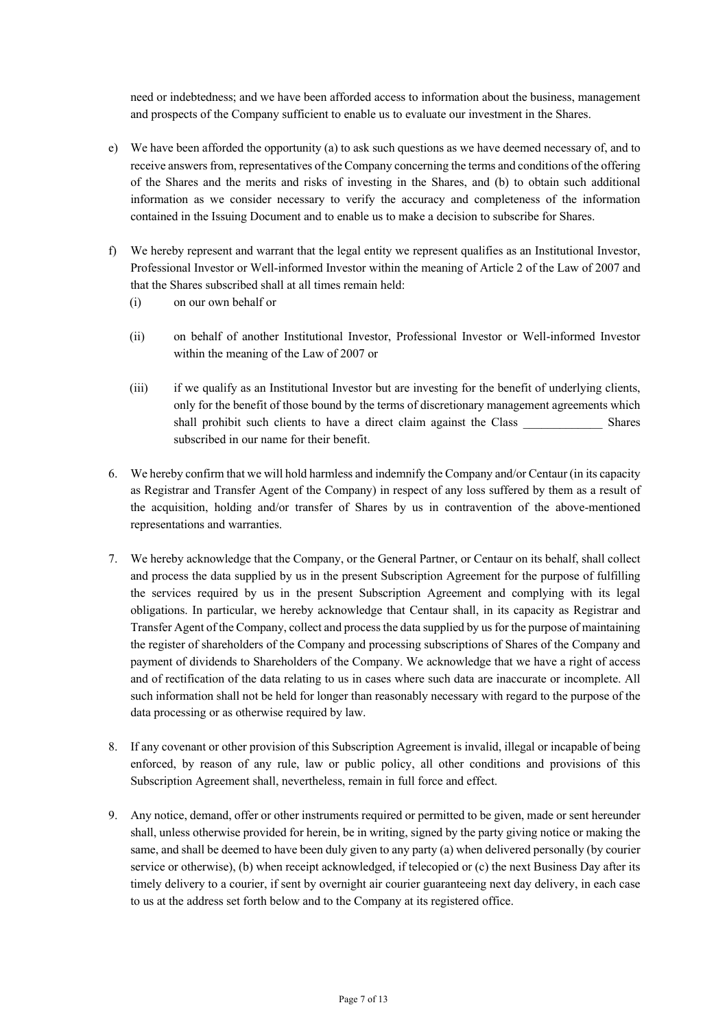need or indebtedness; and we have been afforded access to information about the business, management and prospects of the Company sufficient to enable us to evaluate our investment in the Shares.

- e) We have been afforded the opportunity (a) to ask such questions as we have deemed necessary of, and to receive answers from, representatives of the Company concerning the terms and conditions of the offering of the Shares and the merits and risks of investing in the Shares, and (b) to obtain such additional information as we consider necessary to verify the accuracy and completeness of the information contained in the Issuing Document and to enable us to make a decision to subscribe for Shares.
- f) We hereby represent and warrant that the legal entity we represent qualifies as an Institutional Investor, Professional Investor or Well-informed Investor within the meaning of Article 2 of the Law of 2007 and that the Shares subscribed shall at all times remain held:
	- (i) on our own behalf or
	- (ii) on behalf of another Institutional Investor, Professional Investor or Well-informed Investor within the meaning of the Law of 2007 or
	- (iii) if we qualify as an Institutional Investor but are investing for the benefit of underlying clients, only for the benefit of those bound by the terms of discretionary management agreements which shall prohibit such clients to have a direct claim against the Class Shares subscribed in our name for their benefit.
- 6. We hereby confirm that we will hold harmless and indemnify the Company and/or Centaur (in its capacity as Registrar and Transfer Agent of the Company) in respect of any loss suffered by them as a result of the acquisition, holding and/or transfer of Shares by us in contravention of the above-mentioned representations and warranties.
- 7. We hereby acknowledge that the Company, or the General Partner, or Centaur on its behalf, shall collect and process the data supplied by us in the present Subscription Agreement for the purpose of fulfilling the services required by us in the present Subscription Agreement and complying with its legal obligations. In particular, we hereby acknowledge that Centaur shall, in its capacity as Registrar and Transfer Agent of the Company, collect and process the data supplied by us for the purpose of maintaining the register of shareholders of the Company and processing subscriptions of Shares of the Company and payment of dividends to Shareholders of the Company. We acknowledge that we have a right of access and of rectification of the data relating to us in cases where such data are inaccurate or incomplete. All such information shall not be held for longer than reasonably necessary with regard to the purpose of the data processing or as otherwise required by law.
- 8. If any covenant or other provision of this Subscription Agreement is invalid, illegal or incapable of being enforced, by reason of any rule, law or public policy, all other conditions and provisions of this Subscription Agreement shall, nevertheless, remain in full force and effect.
- 9. Any notice, demand, offer or other instruments required or permitted to be given, made or sent hereunder shall, unless otherwise provided for herein, be in writing, signed by the party giving notice or making the same, and shall be deemed to have been duly given to any party (a) when delivered personally (by courier service or otherwise), (b) when receipt acknowledged, if telecopied or (c) the next Business Day after its timely delivery to a courier, if sent by overnight air courier guaranteeing next day delivery, in each case to us at the address set forth below and to the Company at its registered office.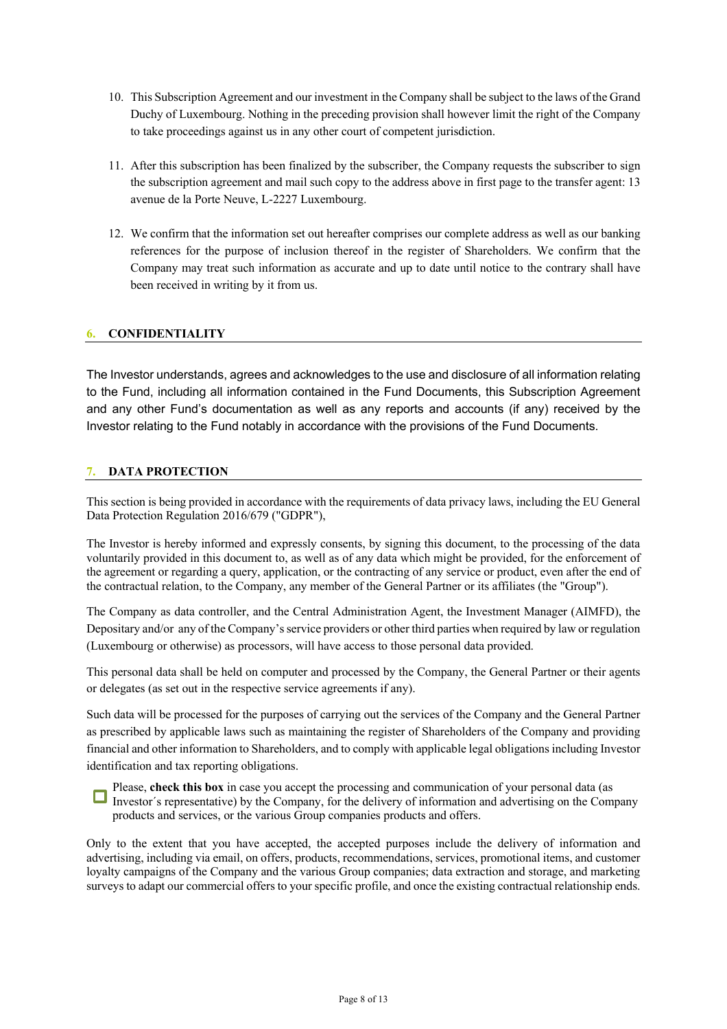- 10. This Subscription Agreement and our investment in the Company shall be subject to the laws of the Grand Duchy of Luxembourg. Nothing in the preceding provision shall however limit the right of the Company to take proceedings against us in any other court of competent jurisdiction.
- 11. After this subscription has been finalized by the subscriber, the Company requests the subscriber to sign the subscription agreement and mail such copy to the address above in first page to the transfer agent: 13 avenue de la Porte Neuve, L-2227 Luxembourg.
- 12. We confirm that the information set out hereafter comprises our complete address as well as our banking references for the purpose of inclusion thereof in the register of Shareholders. We confirm that the Company may treat such information as accurate and up to date until notice to the contrary shall have been received in writing by it from us.

### **6. CONFIDENTIALITY**

The Investor understands, agrees and acknowledges to the use and disclosure of all information relating to the Fund, including all information contained in the Fund Documents, this Subscription Agreement and any other Fund's documentation as well as any reports and accounts (if any) received by the Investor relating to the Fund notably in accordance with the provisions of the Fund Documents.

### **7. DATA PROTECTION**

This section is being provided in accordance with the requirements of data privacy laws, including the EU General Data Protection Regulation 2016/679 ("GDPR"),

The Investor is hereby informed and expressly consents, by signing this document, to the processing of the data voluntarily provided in this document to, as well as of any data which might be provided, for the enforcement of the agreement or regarding a query, application, or the contracting of any service or product, even after the end of the contractual relation, to the Company, any member of the General Partner or its affiliates (the "Group").

The Company as data controller, and the Central Administration Agent, the Investment Manager (AIMFD), the Depositary and/or any of the Company's service providers or other third parties when required by law or regulation (Luxembourg or otherwise) as processors, will have access to those personal data provided.

This personal data shall be held on computer and processed by the Company, the General Partner or their agents or delegates (as set out in the respective service agreements if any).

Such data will be processed for the purposes of carrying out the services of the Company and the General Partner as prescribed by applicable laws such as maintaining the register of Shareholders of the Company and providing financial and other information to Shareholders, and to comply with applicable legal obligations including Investor identification and tax reporting obligations.

Please, **check this box** in case you accept the processing and communication of your personal data (as I heave, the case of the Company, for the delivery of information and advertising on the Company products and services, or the various Group companies products and offers.

Only to the extent that you have accepted, the accepted purposes include the delivery of information and advertising, including via email, on offers, products, recommendations, services, promotional items, and customer loyalty campaigns of the Company and the various Group companies; data extraction and storage, and marketing surveys to adapt our commercial offers to your specific profile, and once the existing contractual relationship ends.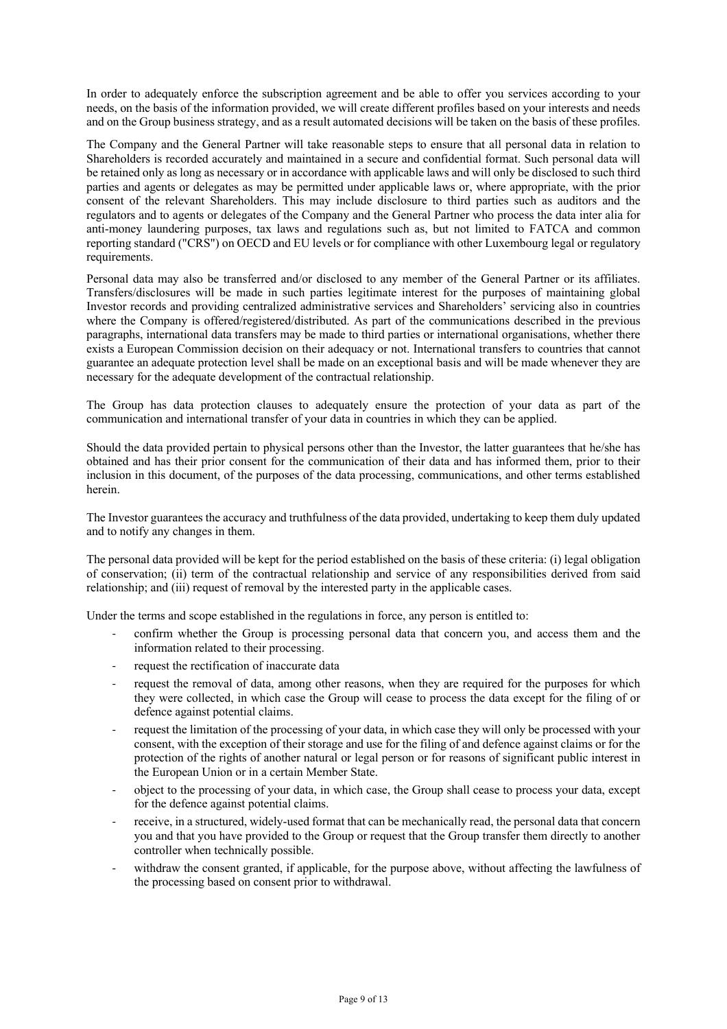In order to adequately enforce the subscription agreement and be able to offer you services according to your needs, on the basis of the information provided, we will create different profiles based on your interests and needs and on the Group business strategy, and as a result automated decisions will be taken on the basis of these profiles.

The Company and the General Partner will take reasonable steps to ensure that all personal data in relation to Shareholders is recorded accurately and maintained in a secure and confidential format. Such personal data will be retained only as long as necessary or in accordance with applicable laws and will only be disclosed to such third parties and agents or delegates as may be permitted under applicable laws or, where appropriate, with the prior consent of the relevant Shareholders. This may include disclosure to third parties such as auditors and the regulators and to agents or delegates of the Company and the General Partner who process the data inter alia for anti-money laundering purposes, tax laws and regulations such as, but not limited to FATCA and common reporting standard ("CRS") on OECD and EU levels or for compliance with other Luxembourg legal or regulatory requirements.

Personal data may also be transferred and/or disclosed to any member of the General Partner or its affiliates. Transfers/disclosures will be made in such parties legitimate interest for the purposes of maintaining global Investor records and providing centralized administrative services and Shareholders' servicing also in countries where the Company is offered/registered/distributed. As part of the communications described in the previous paragraphs, international data transfers may be made to third parties or international organisations, whether there exists a European Commission decision on their adequacy or not. International transfers to countries that cannot guarantee an adequate protection level shall be made on an exceptional basis and will be made whenever they are necessary for the adequate development of the contractual relationship.

The Group has data protection clauses to adequately ensure the protection of your data as part of the communication and international transfer of your data in countries in which they can be applied.

Should the data provided pertain to physical persons other than the Investor, the latter guarantees that he/she has obtained and has their prior consent for the communication of their data and has informed them, prior to their inclusion in this document, of the purposes of the data processing, communications, and other terms established herein.

The Investor guarantees the accuracy and truthfulness of the data provided, undertaking to keep them duly updated and to notify any changes in them.

The personal data provided will be kept for the period established on the basis of these criteria: (i) legal obligation of conservation; (ii) term of the contractual relationship and service of any responsibilities derived from said relationship; and (iii) request of removal by the interested party in the applicable cases.

Under the terms and scope established in the regulations in force, any person is entitled to:

- confirm whether the Group is processing personal data that concern you, and access them and the information related to their processing.
- request the rectification of inaccurate data
- request the removal of data, among other reasons, when they are required for the purposes for which they were collected, in which case the Group will cease to process the data except for the filing of or defence against potential claims.
- request the limitation of the processing of your data, in which case they will only be processed with your consent, with the exception of their storage and use for the filing of and defence against claims or for the protection of the rights of another natural or legal person or for reasons of significant public interest in the European Union or in a certain Member State.
- object to the processing of your data, in which case, the Group shall cease to process your data, except for the defence against potential claims.
- receive, in a structured, widely-used format that can be mechanically read, the personal data that concern you and that you have provided to the Group or request that the Group transfer them directly to another controller when technically possible.
- withdraw the consent granted, if applicable, for the purpose above, without affecting the lawfulness of the processing based on consent prior to withdrawal.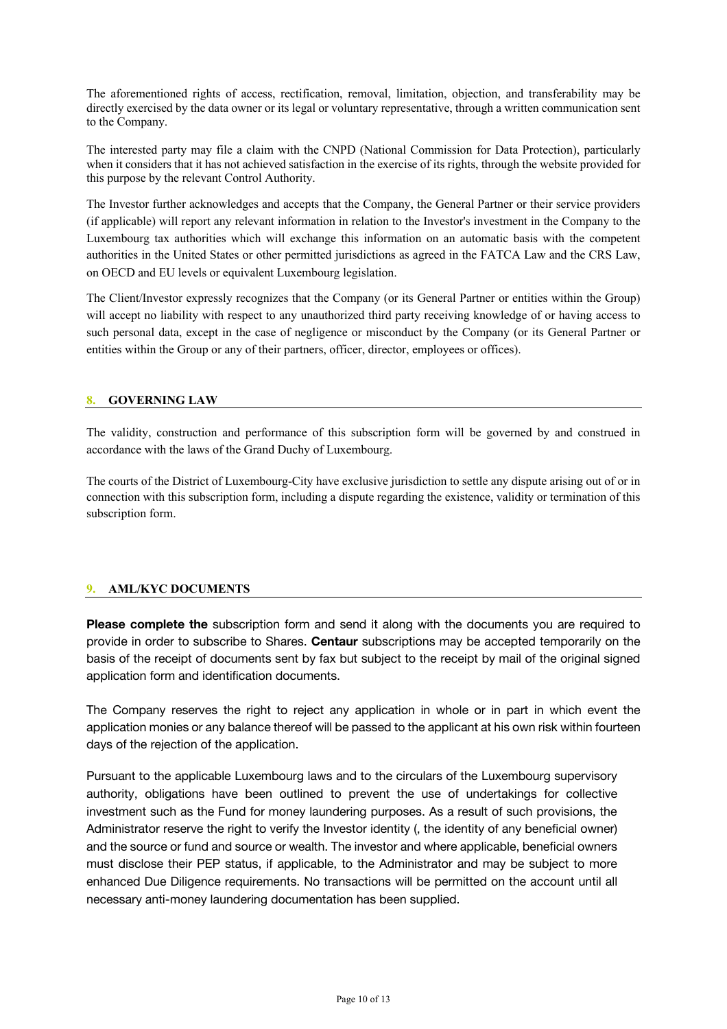The aforementioned rights of access, rectification, removal, limitation, objection, and transferability may be directly exercised by the data owner or its legal or voluntary representative, through a written communication sent to the Company.

The interested party may file a claim with the CNPD (National Commission for Data Protection), particularly when it considers that it has not achieved satisfaction in the exercise of its rights, through the website provided for this purpose by the relevant Control Authority.

The Investor further acknowledges and accepts that the Company, the General Partner or their service providers (if applicable) will report any relevant information in relation to the Investor's investment in the Company to the Luxembourg tax authorities which will exchange this information on an automatic basis with the competent authorities in the United States or other permitted jurisdictions as agreed in the FATCA Law and the CRS Law, on OECD and EU levels or equivalent Luxembourg legislation.

The Client/Investor expressly recognizes that the Company (or its General Partner or entities within the Group) will accept no liability with respect to any unauthorized third party receiving knowledge of or having access to such personal data, except in the case of negligence or misconduct by the Company (or its General Partner or entities within the Group or any of their partners, officer, director, employees or offices).

### **8. GOVERNING LAW**

The validity, construction and performance of this subscription form will be governed by and construed in accordance with the laws of the Grand Duchy of Luxembourg.

The courts of the District of Luxembourg-City have exclusive jurisdiction to settle any dispute arising out of or in connection with this subscription form, including a dispute regarding the existence, validity or termination of this subscription form.

### **9. AML/KYC DOCUMENTS**

**Please complete the** subscription form and send it along with the documents you are required to provide in order to subscribe to Shares. **Centaur** subscriptions may be accepted temporarily on the basis of the receipt of documents sent by fax but subject to the receipt by mail of the original signed application form and identification documents.

The Company reserves the right to reject any application in whole or in part in which event the application monies or any balance thereof will be passed to the applicant at his own risk within fourteen days of the rejection of the application.

Pursuant to the applicable Luxembourg laws and to the circulars of the Luxembourg supervisory authority, obligations have been outlined to prevent the use of undertakings for collective investment such as the Fund for money laundering purposes. As a result of such provisions, the Administrator reserve the right to verify the Investor identity (, the identity of any beneficial owner) and the source or fund and source or wealth. The investor and where applicable, beneficial owners must disclose their PEP status, if applicable, to the Administrator and may be subject to more enhanced Due Diligence requirements. No transactions will be permitted on the account until all necessary anti-money laundering documentation has been supplied.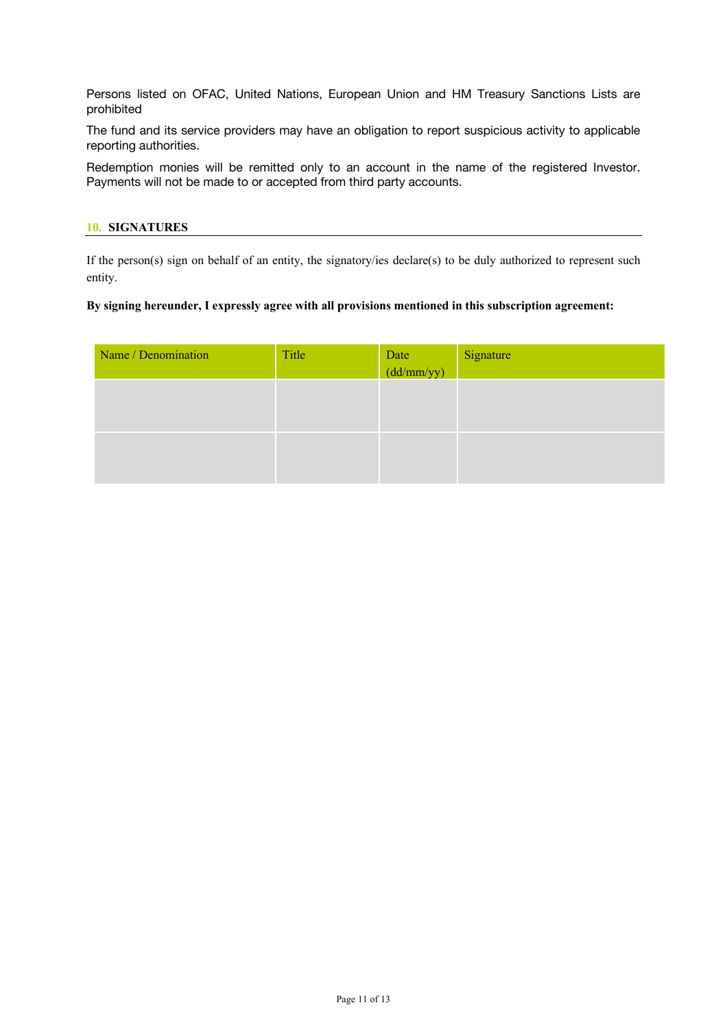Persons listed on OFAC, United Nations, European Union and HM Treasury Sanctions Lists are prohibited

The fund and its service providers may have an obligation to report suspicious activity to applicable reporting authorities.

Redemption monies will be remitted only to an account in the name of the registered Investor. Payments will not be made to or accepted from third party accounts.

#### **10. SIGNATURES**

If the person(s) sign on behalf of an entity, the signatory/ies declare(s) to be duly authorized to represent such entity.

#### **By signing hereunder, I expressly agree with all provisions mentioned in this subscription agreement:**

| Name / Denomination | Title | Date<br>(dd/mm/yy) | Signature |
|---------------------|-------|--------------------|-----------|
|                     |       |                    |           |
|                     |       |                    |           |
|                     |       |                    |           |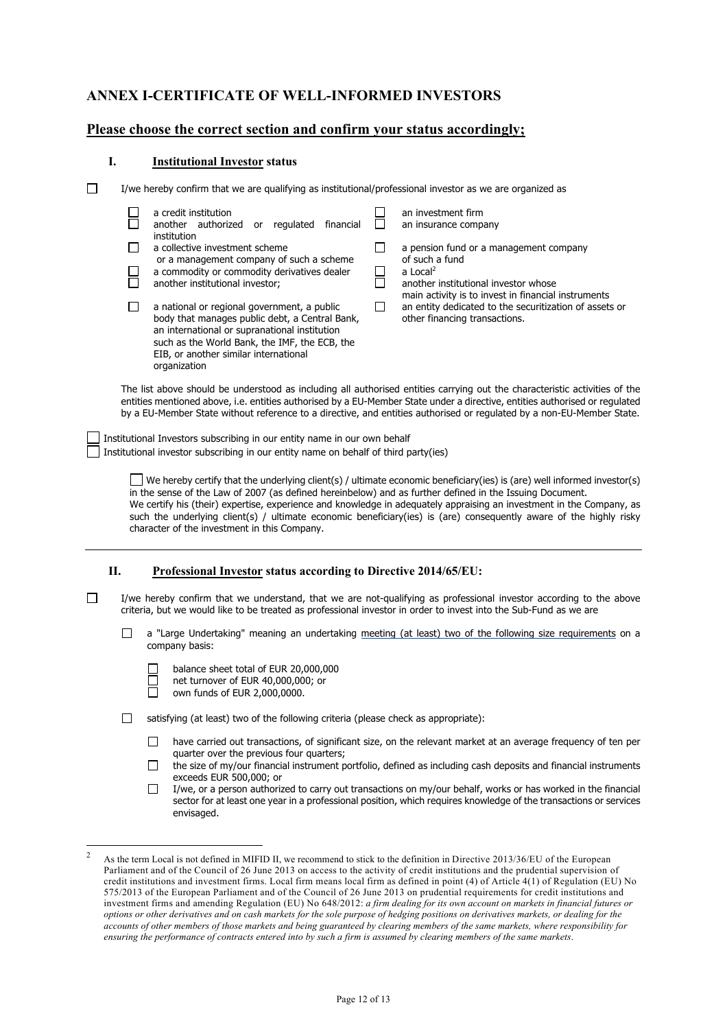## **ANNEX I-CERTIFICATE OF WELL-INFORMED INVESTORS**

### **Please choose the correct section and confirm your status accordingly;**

#### **I. Institutional Investor status**

organization

 $\Box$ I/we hereby confirm that we are qualifying as institutional/professional investor as we are organized as

| a credit institution<br>authorized or<br>regulated<br>another<br>financial<br>institution                                                                                                                                                | an investment firm<br>an insurance company                                                                                                     |
|------------------------------------------------------------------------------------------------------------------------------------------------------------------------------------------------------------------------------------------|------------------------------------------------------------------------------------------------------------------------------------------------|
| a collective investment scheme<br>or a management company of such a scheme<br>a commodity or commodity derivatives dealer<br>another institutional investor;                                                                             | a pension fund or a management company<br>of such a fund<br>a Local <sup>2</sup><br>another institutional investor whose                       |
| a national or regional government, a public<br>body that manages public debt, a Central Bank,<br>an international or supranational institution<br>such as the World Bank, the IMF, the ECB, the<br>EIB, or another similar international | main activity is to invest in financial instruments<br>an entity dedicated to the securitization of assets or<br>other financing transactions. |

The list above should be understood as including all authorised entities carrying out the characteristic activities of the entities mentioned above, i.e. entities authorised by a EU‐Member State under a directive, entities authorised or regulated by a EU‐Member State without reference to a directive, and entities authorised or regulated by a non‐EU‐Member State.

Institutional Investors subscribing in our entity name in our own behalf  $\Box$  Institutional investor subscribing in our entity name on behalf of third party(ies)

> We hereby certify that the underlying client(s) / ultimate economic beneficiary(ies) is (are) well informed investor(s) in the sense of the Law of 2007 (as defined hereinbelow) and as further defined in the Issuing Document. We certify his (their) expertise, experience and knowledge in adequately appraising an investment in the Company, as such the underlying client(s) / ultimate economic beneficiary(ies) is (are) consequently aware of the highly risky character of the investment in this Company.

#### **II. Professional Investor status according to Directive 2014/65/EU:**

 $\Box$ I/we hereby confirm that we understand, that we are not-qualifying as professional investor according to the above criteria, but we would like to be treated as professional investor in order to invest into the Sub-Fund as we are

П a "Large Undertaking" meaning an undertaking meeting (at least) two of the following size requirements on a company basis:

- balance sheet total of EUR 20,000,000
- net turnover of EUR 40,000,000; or □
- ñ own funds of EUR 2,000,0000.

satisfying (at least) two of the following criteria (please check as appropriate):

- have carried out transactions, of significant size, on the relevant market at an average frequency of ten per quarter over the previous four quarters;
- $\Box$ the size of my/our financial instrument portfolio, defined as including cash deposits and financial instruments exceeds EUR 500,000; or
- П I/we, or a person authorized to carry out transactions on my/our behalf, works or has worked in the financial sector for at least one year in a professional position, which requires knowledge of the transactions or services envisaged.

As the term Local is not defined in MIFID II, we recommend to stick to the definition in Directive 2013/36/EU of the European Parliament and of the Council of 26 June 2013 on access to the activity of credit institutions and the prudential supervision of credit institutions and investment firms. Local firm means local firm as defined in point (4) of Article 4(1) of Regulation (EU) No 575/2013 of the European Parliament and of the Council of 26 June 2013 on prudential requirements for credit institutions and investment firms and amending Regulation (EU) No 648/2012: *a firm dealing for its own account on markets in financial futures or options or other derivatives and on cash markets for the sole purpose of hedging positions on derivatives markets, or dealing for the accounts of other members of those markets and being guaranteed by clearing members of the same markets, where responsibility for ensuring the performance of contracts entered into by such a firm is assumed by clearing members of the same markets*.